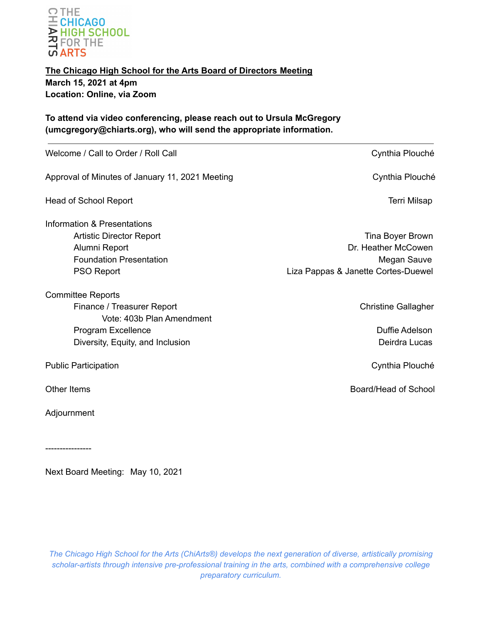

**The Chicago High School for the Arts Board of Directors Meeting March 15, 2021 at 4pm Location: Online, via Zoom**

**To attend via video conferencing, please reach out to Ursula McGregory (umcgregory@chiarts.org), who will send the appropriate information.**

| Welcome / Call to Order / Roll Call             | Cynthia Plouché                     |
|-------------------------------------------------|-------------------------------------|
| Approval of Minutes of January 11, 2021 Meeting | Cynthia Plouché                     |
| <b>Head of School Report</b>                    | <b>Terri Milsap</b>                 |
| Information & Presentations                     |                                     |
| <b>Artistic Director Report</b>                 | Tina Boyer Brown                    |
| Alumni Report                                   | Dr. Heather McCowen                 |
| <b>Foundation Presentation</b>                  | Megan Sauve                         |
| PSO Report                                      | Liza Pappas & Janette Cortes-Duewel |
| <b>Committee Reports</b>                        |                                     |
| Finance / Treasurer Report                      | <b>Christine Gallagher</b>          |
| Vote: 403b Plan Amendment                       |                                     |
| Program Excellence                              | Duffie Adelson                      |
| Diversity, Equity, and Inclusion                | Deirdra Lucas                       |
| <b>Public Participation</b>                     | Cynthia Plouché                     |
| Other Items                                     | Board/Head of School                |
| Adjournment                                     |                                     |

----------------

Next Board Meeting: May 10, 2021

*The Chicago High School for the Arts (ChiArts®) develops the next generation of diverse, artistically promising scholar-artists through intensive pre-professional training in the arts, combined with a comprehensive college preparatory curriculum.*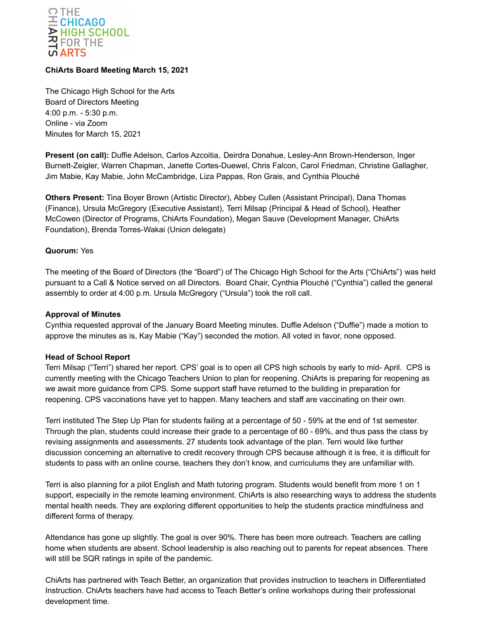

# **ChiArts Board Meeting March 15, 2021**

The Chicago High School for the Arts Board of Directors Meeting 4:00 p.m. - 5:30 p.m. Online - via Zoom Minutes for March 15, 2021

**Present (on call):** Duffie Adelson, Carlos Azcoitia, Deirdra Donahue, Lesley-Ann Brown-Henderson, Inger Burnett-Zeigler, Warren Chapman, Janette Cortes-Duewel, Chris Falcon, Carol Friedman, Christine Gallagher, Jim Mabie, Kay Mabie, John McCambridge, Liza Pappas, Ron Grais, and Cynthia Plouché

**Others Present:** Tina Boyer Brown (Artistic Director), Abbey Cullen (Assistant Principal), Dana Thomas (Finance), Ursula McGregory (Executive Assistant), Terri Milsap (Principal & Head of School), Heather McCowen (Director of Programs, ChiArts Foundation), Megan Sauve (Development Manager, ChiArts Foundation), Brenda Torres-Wakai (Union delegate)

## **Quorum:** Yes

The meeting of the Board of Directors (the "Board") of The Chicago High School for the Arts ("ChiArts") was held pursuant to a Call & Notice served on all Directors. Board Chair, Cynthia Plouché ("Cynthia") called the general assembly to order at 4:00 p.m. Ursula McGregory ("Ursula") took the roll call.

### **Approval of Minutes**

Cynthia requested approval of the January Board Meeting minutes. Duffie Adelson ("Duffie") made a motion to approve the minutes as is, Kay Mabie ("Kay") seconded the motion. All voted in favor, none opposed.

#### **Head of School Report**

Terri Milsap ("Terri") shared her report. CPS' goal is to open all CPS high schools by early to mid- April. CPS is currently meeting with the Chicago Teachers Union to plan for reopening. ChiArts is preparing for reopening as we await more guidance from CPS. Some support staff have returned to the building in preparation for reopening. CPS vaccinations have yet to happen. Many teachers and staff are vaccinating on their own.

Terri instituted The Step Up Plan for students failing at a percentage of 50 - 59% at the end of 1st semester. Through the plan, students could increase their grade to a percentage of 60 - 69%, and thus pass the class by revising assignments and assessments. 27 students took advantage of the plan. Terri would like further discussion concerning an alternative to credit recovery through CPS because although it is free, it is difficult for students to pass with an online course, teachers they don't know, and curriculums they are unfamiliar with.

Terri is also planning for a pilot English and Math tutoring program. Students would benefit from more 1 on 1 support, especially in the remote learning environment. ChiArts is also researching ways to address the students mental health needs. They are exploring different opportunities to help the students practice mindfulness and different forms of therapy.

Attendance has gone up slightly. The goal is over 90%. There has been more outreach. Teachers are calling home when students are absent. School leadership is also reaching out to parents for repeat absences. There will still be SQR ratings in spite of the pandemic.

ChiArts has partnered with Teach Better, an organization that provides instruction to teachers in Differentiated Instruction. ChiArts teachers have had access to Teach Better's online workshops during their professional development time.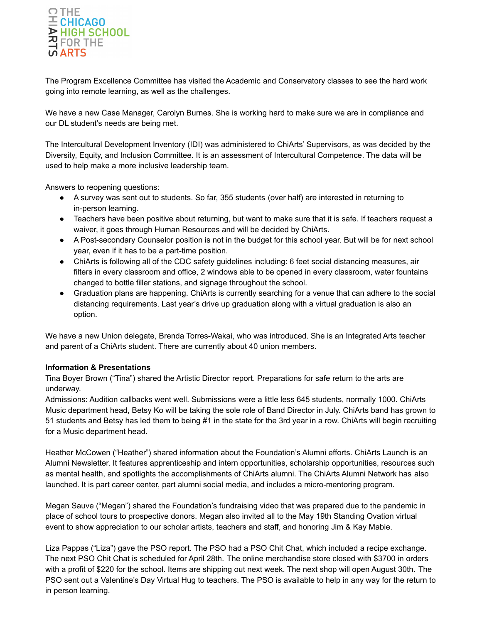

The Program Excellence Committee has visited the Academic and Conservatory classes to see the hard work going into remote learning, as well as the challenges.

We have a new Case Manager, Carolyn Burnes. She is working hard to make sure we are in compliance and our DL student's needs are being met.

The Intercultural Development Inventory (IDI) was administered to ChiArts' Supervisors, as was decided by the Diversity, Equity, and Inclusion Committee. It is an assessment of Intercultural Competence. The data will be used to help make a more inclusive leadership team.

Answers to reopening questions:

- A survey was sent out to students. So far, 355 students (over half) are interested in returning to in-person learning.
- Teachers have been positive about returning, but want to make sure that it is safe. If teachers request a waiver, it goes through Human Resources and will be decided by ChiArts.
- A Post-secondary Counselor position is not in the budget for this school year. But will be for next school year, even if it has to be a part-time position.
- ChiArts is following all of the CDC safety guidelines including: 6 feet social distancing measures, air filters in every classroom and office, 2 windows able to be opened in every classroom, water fountains changed to bottle filler stations, and signage throughout the school.
- Graduation plans are happening. ChiArts is currently searching for a venue that can adhere to the social distancing requirements. Last year's drive up graduation along with a virtual graduation is also an option.

We have a new Union delegate, Brenda Torres-Wakai, who was introduced. She is an Integrated Arts teacher and parent of a ChiArts student. There are currently about 40 union members.

## **Information & Presentations**

Tina Boyer Brown ("Tina") shared the Artistic Director report. Preparations for safe return to the arts are underway.

Admissions: Audition callbacks went well. Submissions were a little less 645 students, normally 1000. ChiArts Music department head, Betsy Ko will be taking the sole role of Band Director in July. ChiArts band has grown to 51 students and Betsy has led them to being #1 in the state for the 3rd year in a row. ChiArts will begin recruiting for a Music department head.

Heather McCowen ("Heather") shared information about the Foundation's Alumni efforts. ChiArts Launch is an Alumni Newsletter. It features apprenticeship and intern opportunities, scholarship opportunities, resources such as mental health, and spotlights the accomplishments of ChiArts alumni. The ChiArts Alumni Network has also launched. It is part career center, part alumni social media, and includes a micro-mentoring program.

Megan Sauve ("Megan") shared the Foundation's fundraising video that was prepared due to the pandemic in place of school tours to prospective donors. Megan also invited all to the May 19th Standing Ovation virtual event to show appreciation to our scholar artists, teachers and staff, and honoring Jim & Kay Mabie.

Liza Pappas ("Liza") gave the PSO report. The PSO had a PSO Chit Chat, which included a recipe exchange. The next PSO Chit Chat is scheduled for April 28th. The online merchandise store closed with \$3700 in orders with a profit of \$220 for the school. Items are shipping out next week. The next shop will open August 30th. The PSO sent out a Valentine's Day Virtual Hug to teachers. The PSO is available to help in any way for the return to in person learning.